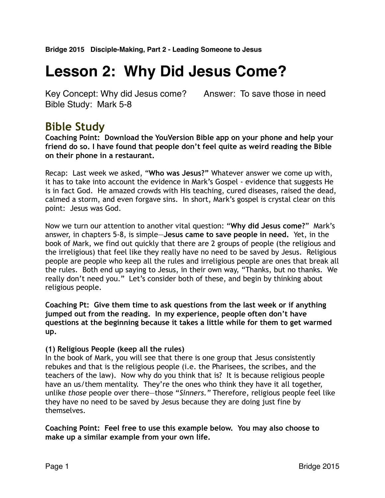# **Lesson 2: Why Did Jesus Come?**

Key Concept: Why did Jesus come? Answer: To save those in need Bible Study: Mark 5-8

# **Bible Study**

**Coaching Point: Download the YouVersion Bible app on your phone and help your friend do so. I have found that people don't feel quite as weird reading the Bible on their phone in a restaurant.** 

Recap: Last week we asked, "**Who was Jesus?"** Whatever answer we come up with, it has to take into account the evidence in Mark's Gospel - evidence that suggests He is in fact God. He amazed crowds with His teaching, cured diseases, raised the dead, calmed a storm, and even forgave sins. In short, Mark's gospel is crystal clear on this point: Jesus was God.

Now we turn our attention to another vital question: "**Why did Jesus come?**" Mark's answer, in chapters 5-8, is simple—**Jesus came to save people in need.** Yet, in the book of Mark, we find out quickly that there are 2 groups of people (the religious and the irreligious) that feel like they really have no need to be saved by Jesus. Religious people are people who keep all the rules and irreligious people are ones that break all the rules. Both end up saying to Jesus, in their own way, "Thanks, but no thanks. We really don't need you." Let's consider both of these, and begin by thinking about religious people.

**Coaching Pt: Give them time to ask questions from the last week or if anything jumped out from the reading. In my experience, people often don't have questions at the beginning because it takes a little while for them to get warmed up.**

#### **(1) Religious People (keep all the rules)**

In the book of Mark, you will see that there is one group that Jesus consistently rebukes and that is the religious people (i.e. the Pharisees, the scribes, and the teachers of the law). Now why do you think that is? It is because religious people have an us/them mentality. They're the ones who think they have it all together, unlike *those* people over there—those "*Sinners."* Therefore, religious people feel like they have no need to be saved by Jesus because they are doing just fine by themselves.

**Coaching Point: Feel free to use this example below. You may also choose to make up a similar example from your own life.**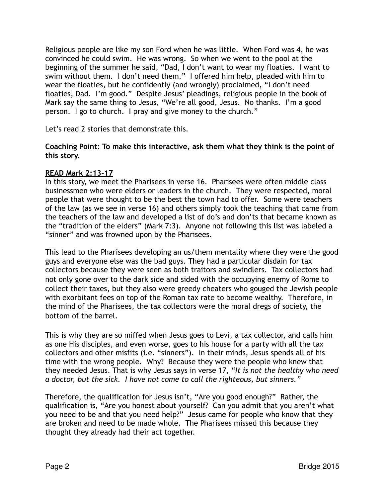Religious people are like my son Ford when he was little. When Ford was 4, he was convinced he could swim. He was wrong. So when we went to the pool at the beginning of the summer he said, "Dad, I don't want to wear my floaties. I want to swim without them. I don't need them." I offered him help, pleaded with him to wear the floaties, but he confidently (and wrongly) proclaimed, "I don't need floaties, Dad. I'm good." Despite Jesus' pleadings, religious people in the book of Mark say the same thing to Jesus, "We're all good, Jesus. No thanks. I'm a good person. I go to church. I pray and give money to the church."

Let's read 2 stories that demonstrate this.

**Coaching Point: To make this interactive, ask them what they think is the point of this story.**

# **READ Mark 2:13-17**

In this story, we meet the Pharisees in verse 16. Pharisees were often middle class businessmen who were elders or leaders in the church. They were respected, moral people that were thought to be the best the town had to offer. Some were teachers of the law (as we see in verse 16) and others simply took the teaching that came from the teachers of the law and developed a list of do's and don'ts that became known as the "tradition of the elders" (Mark 7:3). Anyone not following this list was labeled a "sinner" and was frowned upon by the Pharisees.

This lead to the Pharisees developing an us/them mentality where they were the good guys and everyone else was the bad guys. They had a particular disdain for tax collectors because they were seen as both traitors and swindlers. Tax collectors had not only gone over to the dark side and sided with the occupying enemy of Rome to collect their taxes, but they also were greedy cheaters who gouged the Jewish people with exorbitant fees on top of the Roman tax rate to become wealthy. Therefore, in the mind of the Pharisees, the tax collectors were the moral dregs of society, the bottom of the barrel.

This is why they are so miffed when Jesus goes to Levi, a tax collector, and calls him as one His disciples, and even worse, goes to his house for a party with all the tax collectors and other misfits (i.e. "sinners"). In their minds, Jesus spends all of his time with the wrong people. Why? Because they were the people who knew that they needed Jesus. That is why Jesus says in verse 17, "*It is not the healthy who need a doctor, but the sick. I have not come to call the righteous, but sinners."*

Therefore, the qualification for Jesus isn't, "Are you good enough?" Rather, the qualification is, "Are you honest about yourself? Can you admit that you aren't what you need to be and that you need help?" Jesus came for people who know that they are broken and need to be made whole. The Pharisees missed this because they thought they already had their act together.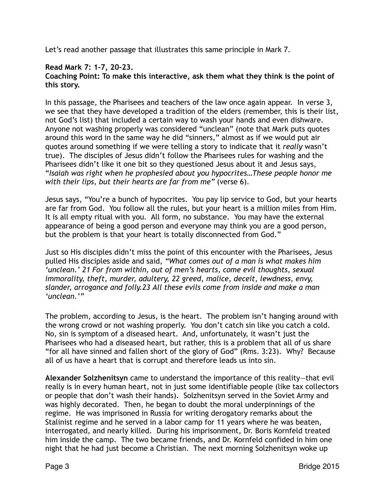Let's read another passage that illustrates this same principle in Mark 7.

# **Read Mark 7: 1-7, 20-23.**

#### **Coaching Point: To make this interactive, ask them what they think is the point of this story.**

In this passage, the Pharisees and teachers of the law once again appear. In verse 3, we see that they have developed a tradition of the elders (remember, this is their list, not God's list) that included a certain way to wash your hands and even dishware. Anyone not washing properly was considered "unclean" (note that Mark puts quotes around this word in the same way he did "sinners," almost as if we would put air quotes around something if we were telling a story to indicate that it *really* wasn't true). The disciples of Jesus didn't follow the Pharisees rules for washing and the Pharisees didn't like it one bit so they questioned Jesus about it and Jesus says, "*Isaiah was right when he prophesied about you hypocrites…These people honor me with their lips, but their hearts are far from me"* (verse 6).

Jesus says, "You're a bunch of hypocrites. You pay lip service to God, but your hearts are far from God. You follow all the rules, but your heart is a million miles from Him. It is all empty ritual with you. All form, no substance. You may have the external appearance of being a good person and everyone may think you are a good person, but the problem is that your heart is totally disconnected from God."

Just so His disciples didn't miss the point of this encounter with the Pharisees, Jesus pulled His disciples aside and said, *"What comes out of a man is what makes him 'unclean.' 21 For from within, out of men's hearts, come evil thoughts, sexual immorality, theft, murder, adultery, 22 greed, malice, deceit, lewdness, envy, slander, arrogance and folly.23 All these evils come from inside and make a man 'unclean.'"*

The problem, according to Jesus, is the heart. The problem isn't hanging around with the wrong crowd or not washing properly. You don't catch sin like you catch a cold. No, sin is symptom of a diseased heart. And, unfortunately, it wasn't just the Pharisees who had a diseased heart, but rather, this is a problem that all of us share "for all have sinned and fallen short of the glory of God" (Rms. 3:23). Why? Because all of us have a heart that is corrupt and therefore leads us into sin.

**Alexander Solzhenitsyn** came to understand the importance of this reality—that evil really is in every human heart, not in just some identifiable people (like tax collectors or people that don't wash their hands). Solzhenitsyn served in the Soviet Army and was highly decorated. Then, he began to doubt the moral underpinnings of the regime. He was imprisoned in Russia for writing derogatory remarks about the Stalinist regime and he served in a labor camp for 11 years where he was beaten, interrogated, and nearly killed. During his imprisonment, Dr. Boris Kornfeld treated him inside the camp. The two became friends, and Dr. Kornfeld confided in him one night that he had just become a Christian. The next morning Solzhenitsyn woke up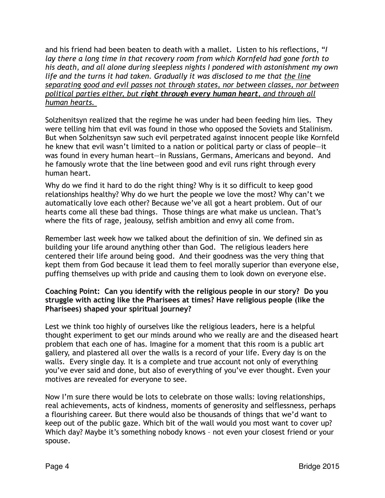and his friend had been beaten to death with a mallet. Listen to his reflections, "*I lay there a long time in that recovery room from which Kornfeld had gone forth to his death, and all alone during sleepless nights I pondered with astonishment my own life and the turns it had taken. Gradually it was disclosed to me that the line separating good and evil passes not through states, nor between classes, nor between political parties either, but right through every human heart, and through all human hearts.* 

Solzhenitsyn realized that the regime he was under had been feeding him lies. They were telling him that evil was found in those who opposed the Soviets and Stalinism. But when Solzhenitsyn saw such evil perpetrated against innocent people like Kornfeld he knew that evil wasn't limited to a nation or political party or class of people—it was found in every human heart—in Russians, Germans, Americans and beyond. And he famously wrote that the line between good and evil runs right through every human heart.

Why do we find it hard to do the right thing? Why is it so difficult to keep good relationships healthy? Why do we hurt the people we love the most? Why can't we automatically love each other? Because we've all got a heart problem. Out of our hearts come all these bad things. Those things are what make us unclean. That's where the fits of rage, jealousy, selfish ambition and envy all come from.

Remember last week how we talked about the definition of sin. We defined sin as building your life around anything other than God. The religious leaders here centered their life around being good. And their goodness was the very thing that kept them from God because it lead them to feel morally superior than everyone else, puffing themselves up with pride and causing them to look down on everyone else.

#### **Coaching Point: Can you identify with the religious people in our story? Do you struggle with acting like the Pharisees at times? Have religious people (like the Pharisees) shaped your spiritual journey?**

Lest we think too highly of ourselves like the religious leaders, here is a helpful thought experiment to get our minds around who we really are and the diseased heart problem that each one of has. Imagine for a moment that this room is a public art gallery, and plastered all over the walls is a record of your life. Every day is on the walls. Every single day. It is a complete and true account not only of everything you've ever said and done, but also of everything of you've ever thought. Even your motives are revealed for everyone to see.

Now I'm sure there would be lots to celebrate on those walls: loving relationships, real achievements, acts of kindness, moments of generosity and selflessness, perhaps a flourishing career. But there would also be thousands of things that we'd want to keep out of the public gaze. Which bit of the wall would you most want to cover up? Which day? Maybe it's something nobody knows – not even your closest friend or your spouse.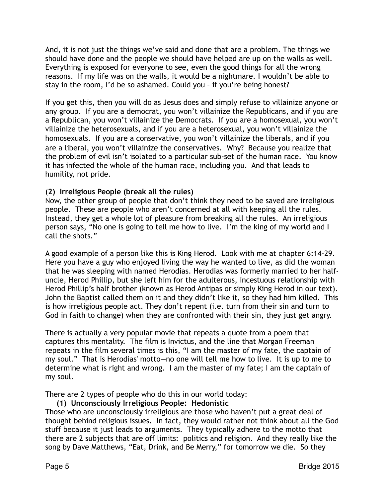And, it is not just the things we've said and done that are a problem. The things we should have done and the people we should have helped are up on the walls as well. Everything is exposed for everyone to see, even the good things for all the wrong reasons. If my life was on the walls, it would be a nightmare. I wouldn't be able to stay in the room, I'd be so ashamed. Could you – if you're being honest?

If you get this, then you will do as Jesus does and simply refuse to villainize anyone or any group. If you are a democrat, you won't villainize the Republicans, and if you are a Republican, you won't villainize the Democrats. If you are a homosexual, you won't villainize the heterosexuals, and if you are a heterosexual, you won't villainize the homosexuals. If you are a conservative, you won't villainize the liberals, and if you are a liberal, you won't villainize the conservatives. Why? Because you realize that the problem of evil isn't isolated to a particular sub-set of the human race. You know it has infected the whole of the human race, including you. And that leads to humility, not pride.

# (**2) Irreligious People (break all the rules)**

Now, the other group of people that don't think they need to be saved are irreligious people. These are people who aren't concerned at all with keeping all the rules. Instead, they get a whole lot of pleasure from breaking all the rules. An irreligious person says, "No one is going to tell me how to live. I'm the king of my world and I call the shots."

A good example of a person like this is King Herod. Look with me at chapter 6:14-29. Here you have a guy who enjoyed living the way he wanted to live, as did the woman that he was sleeping with named Herodias. Herodias was formerly married to her halfuncle, Herod Phillip, but she left him for the adulterous, incestuous relationship with Herod Phillip's half brother (known as Herod Antipas or simply King Herod in our text). John the Baptist called them on it and they didn't like it, so they had him killed. This is how irreligious people act. They don't repent (i.e. turn from their sin and turn to God in faith to change) when they are confronted with their sin, they just get angry.

There is actually a very popular movie that repeats a quote from a poem that captures this mentality. The film is Invictus, and the line that Morgan Freeman repeats in the film several times is this, "I am the master of my fate, the captain of my soul." That is Herodias' motto—no one will tell me how to live. It is up to me to determine what is right and wrong. I am the master of my fate; I am the captain of my soul.

There are 2 types of people who do this in our world today:

**(1) Unconsciously Irreligious People: Hedonistic**  Those who are unconsciously irreligious are those who haven't put a great deal of thought behind religious issues. In fact, they would rather not think about all the God stuff because it just leads to arguments. They typically adhere to the motto that there are 2 subjects that are off limits: politics and religion. And they really like the song by Dave Matthews, "Eat, Drink, and Be Merry," for tomorrow we die. So they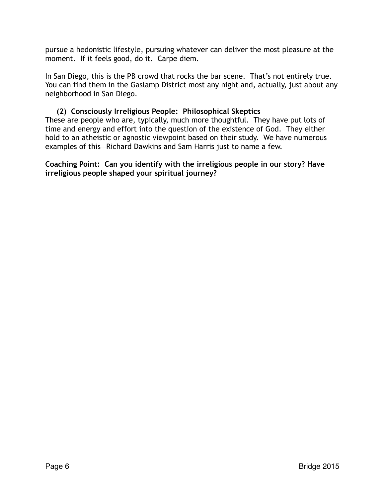pursue a hedonistic lifestyle, pursuing whatever can deliver the most pleasure at the moment. If it feels good, do it. Carpe diem.

In San Diego, this is the PB crowd that rocks the bar scene. That's not entirely true. You can find them in the Gaslamp District most any night and, actually, just about any neighborhood in San Diego.

# **(2) Consciously Irreligious People: Philosophical Skeptics**

These are people who are, typically, much more thoughtful. They have put lots of time and energy and effort into the question of the existence of God. They either hold to an atheistic or agnostic viewpoint based on their study. We have numerous examples of this—Richard Dawkins and Sam Harris just to name a few.

**Coaching Point: Can you identify with the irreligious people in our story? Have irreligious people shaped your spiritual journey?**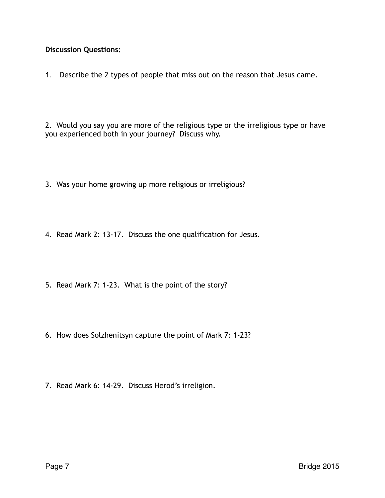# **Discussion Questions:**

1. Describe the 2 types of people that miss out on the reason that Jesus came.

2. Would you say you are more of the religious type or the irreligious type or have you experienced both in your journey? Discuss why.

- 3. Was your home growing up more religious or irreligious?
- 4. Read Mark 2: 13-17. Discuss the one qualification for Jesus.
- 5. Read Mark 7: 1-23. What is the point of the story?
- 6. How does Solzhenitsyn capture the point of Mark 7: 1-23?
- 7. Read Mark 6: 14-29. Discuss Herod's irreligion.